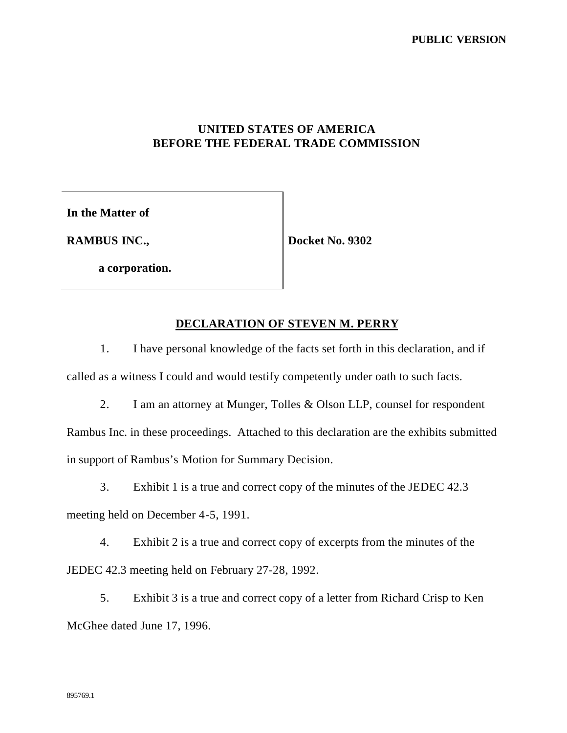**PUBLIC VERSION**

## **UNITED STATES OF AMERICA BEFORE THE FEDERAL TRADE COMMISSION**

**In the Matter of**

**RAMBUS INC.,**

**Docket No. 9302**

**a corporation.**

## **DECLARATION OF STEVEN M. PERRY**

1. I have personal knowledge of the facts set forth in this declaration, and if called as a witness I could and would testify competently under oath to such facts.

2. I am an attorney at Munger, Tolles & Olson LLP, counsel for respondent Rambus Inc. in these proceedings. Attached to this declaration are the exhibits submitted in support of Rambus's Motion for Summary Decision.

3. Exhibit 1 is a true and correct copy of the minutes of the JEDEC 42.3 meeting held on December 4-5, 1991.

4. Exhibit 2 is a true and correct copy of excerpts from the minutes of the JEDEC 42.3 meeting held on February 27-28, 1992.

5. Exhibit 3 is a true and correct copy of a letter from Richard Crisp to Ken McGhee dated June 17, 1996.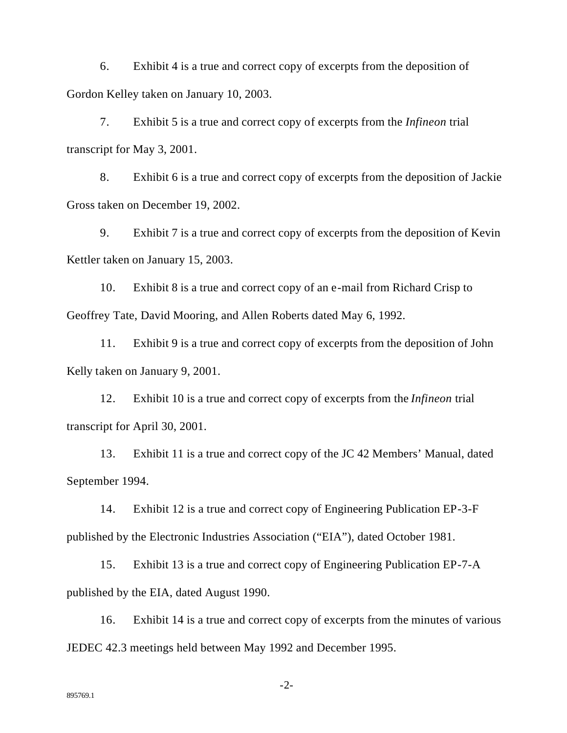6. Exhibit 4 is a true and correct copy of excerpts from the deposition of Gordon Kelley taken on January 10, 2003.

7. Exhibit 5 is a true and correct copy of excerpts from the *Infineon* trial transcript for May 3, 2001.

8. Exhibit 6 is a true and correct copy of excerpts from the deposition of Jackie Gross taken on December 19, 2002.

9. Exhibit 7 is a true and correct copy of excerpts from the deposition of Kevin Kettler taken on January 15, 2003.

10. Exhibit 8 is a true and correct copy of an e-mail from Richard Crisp to Geoffrey Tate, David Mooring, and Allen Roberts dated May 6, 1992.

11. Exhibit 9 is a true and correct copy of excerpts from the deposition of John Kelly taken on January 9, 2001.

12. Exhibit 10 is a true and correct copy of excerpts from the *Infineon* trial transcript for April 30, 2001.

13. Exhibit 11 is a true and correct copy of the JC 42 Members' Manual, dated September 1994.

14. Exhibit 12 is a true and correct copy of Engineering Publication EP-3-F published by the Electronic Industries Association ("EIA"), dated October 1981.

15. Exhibit 13 is a true and correct copy of Engineering Publication EP-7-A published by the EIA, dated August 1990.

16. Exhibit 14 is a true and correct copy of excerpts from the minutes of various JEDEC 42.3 meetings held between May 1992 and December 1995.

-2-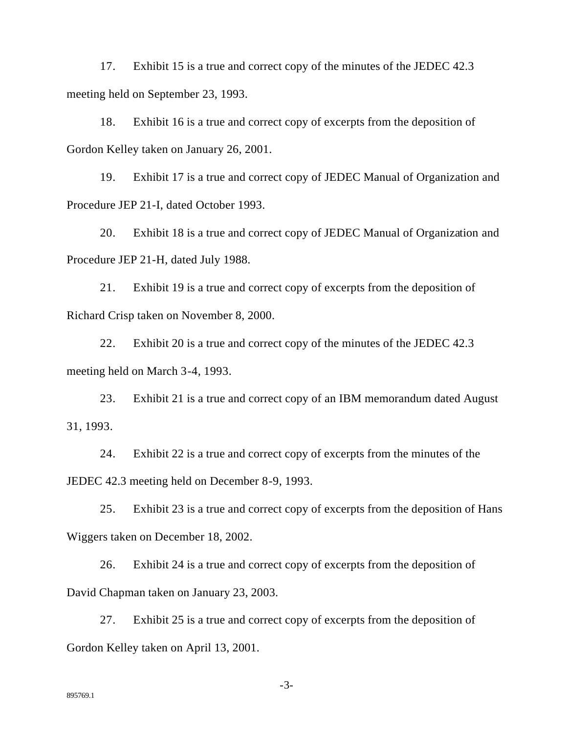17. Exhibit 15 is a true and correct copy of the minutes of the JEDEC 42.3 meeting held on September 23, 1993.

18. Exhibit 16 is a true and correct copy of excerpts from the deposition of Gordon Kelley taken on January 26, 2001.

19. Exhibit 17 is a true and correct copy of JEDEC Manual of Organization and Procedure JEP 21-I, dated October 1993.

20. Exhibit 18 is a true and correct copy of JEDEC Manual of Organization and Procedure JEP 21-H, dated July 1988.

21. Exhibit 19 is a true and correct copy of excerpts from the deposition of Richard Crisp taken on November 8, 2000.

22. Exhibit 20 is a true and correct copy of the minutes of the JEDEC 42.3 meeting held on March 3-4, 1993.

23. Exhibit 21 is a true and correct copy of an IBM memorandum dated August 31, 1993.

24. Exhibit 22 is a true and correct copy of excerpts from the minutes of the JEDEC 42.3 meeting held on December 8-9, 1993.

25. Exhibit 23 is a true and correct copy of excerpts from the deposition of Hans Wiggers taken on December 18, 2002.

26. Exhibit 24 is a true and correct copy of excerpts from the deposition of David Chapman taken on January 23, 2003.

27. Exhibit 25 is a true and correct copy of excerpts from the deposition of Gordon Kelley taken on April 13, 2001.

-3-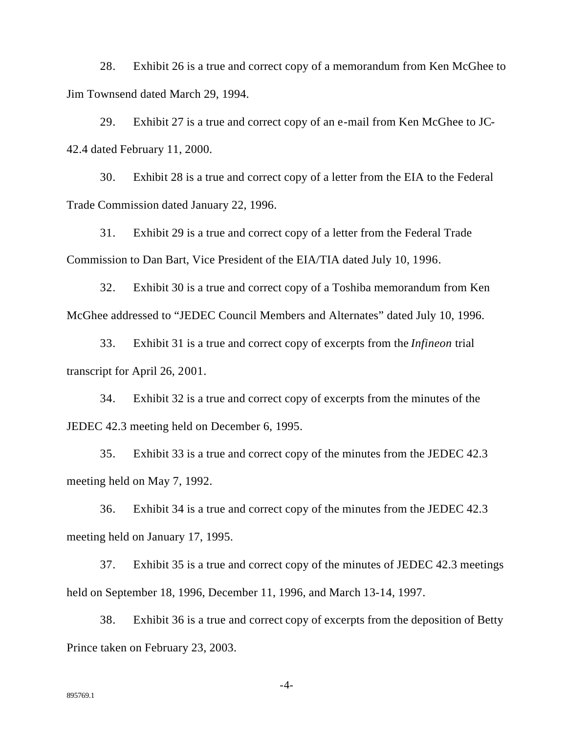28. Exhibit 26 is a true and correct copy of a memorandum from Ken McGhee to Jim Townsend dated March 29, 1994.

29. Exhibit 27 is a true and correct copy of an e-mail from Ken McGhee to JC-42.4 dated February 11, 2000.

30. Exhibit 28 is a true and correct copy of a letter from the EIA to the Federal Trade Commission dated January 22, 1996.

31. Exhibit 29 is a true and correct copy of a letter from the Federal Trade Commission to Dan Bart, Vice President of the EIA/TIA dated July 10, 1996.

32. Exhibit 30 is a true and correct copy of a Toshiba memorandum from Ken McGhee addressed to "JEDEC Council Members and Alternates" dated July 10, 1996.

33. Exhibit 31 is a true and correct copy of excerpts from the *Infineon* trial transcript for April 26, 2001.

34. Exhibit 32 is a true and correct copy of excerpts from the minutes of the JEDEC 42.3 meeting held on December 6, 1995.

35. Exhibit 33 is a true and correct copy of the minutes from the JEDEC 42.3 meeting held on May 7, 1992.

36. Exhibit 34 is a true and correct copy of the minutes from the JEDEC 42.3 meeting held on January 17, 1995.

37. Exhibit 35 is a true and correct copy of the minutes of JEDEC 42.3 meetings held on September 18, 1996, December 11, 1996, and March 13-14, 1997.

38. Exhibit 36 is a true and correct copy of excerpts from the deposition of Betty Prince taken on February 23, 2003.

-4-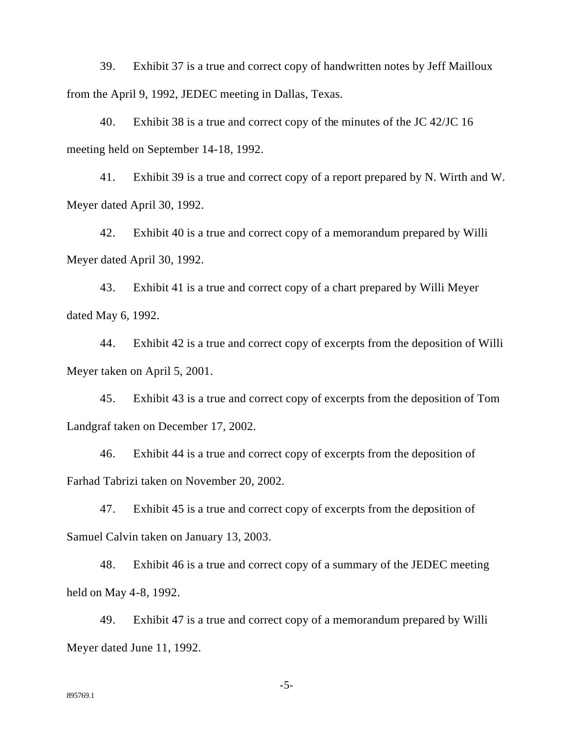39. Exhibit 37 is a true and correct copy of handwritten notes by Jeff Mailloux from the April 9, 1992, JEDEC meeting in Dallas, Texas.

40. Exhibit 38 is a true and correct copy of the minutes of the JC 42/JC 16 meeting held on September 14-18, 1992.

41. Exhibit 39 is a true and correct copy of a report prepared by N. Wirth and W. Meyer dated April 30, 1992.

42. Exhibit 40 is a true and correct copy of a memorandum prepared by Willi Meyer dated April 30, 1992.

43. Exhibit 41 is a true and correct copy of a chart prepared by Willi Meyer dated May 6, 1992.

44. Exhibit 42 is a true and correct copy of excerpts from the deposition of Willi Meyer taken on April 5, 2001.

45. Exhibit 43 is a true and correct copy of excerpts from the deposition of Tom Landgraf taken on December 17, 2002.

46. Exhibit 44 is a true and correct copy of excerpts from the deposition of Farhad Tabrizi taken on November 20, 2002.

47. Exhibit 45 is a true and correct copy of excerpts from the deposition of Samuel Calvin taken on January 13, 2003.

48. Exhibit 46 is a true and correct copy of a summary of the JEDEC meeting held on May 4-8, 1992.

49. Exhibit 47 is a true and correct copy of a memorandum prepared by Willi Meyer dated June 11, 1992.

-5-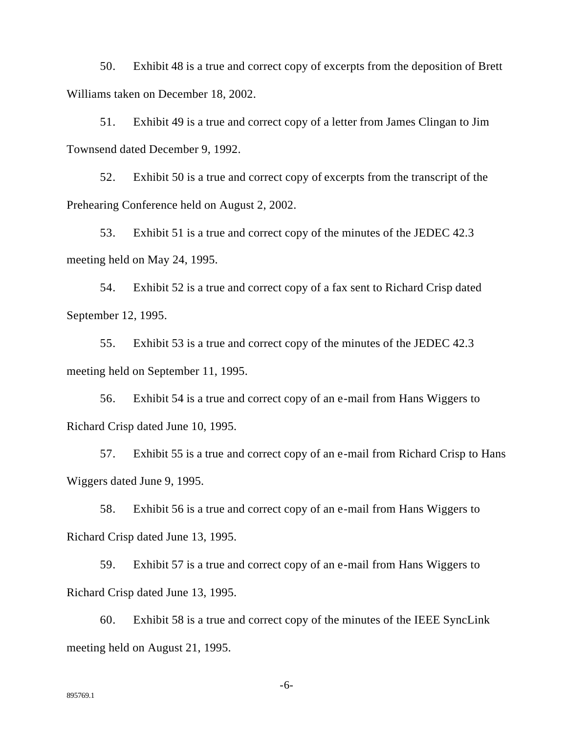50. Exhibit 48 is a true and correct copy of excerpts from the deposition of Brett Williams taken on December 18, 2002.

51. Exhibit 49 is a true and correct copy of a letter from James Clingan to Jim Townsend dated December 9, 1992.

52. Exhibit 50 is a true and correct copy of excerpts from the transcript of the Prehearing Conference held on August 2, 2002.

53. Exhibit 51 is a true and correct copy of the minutes of the JEDEC 42.3 meeting held on May 24, 1995.

54. Exhibit 52 is a true and correct copy of a fax sent to Richard Crisp dated September 12, 1995.

55. Exhibit 53 is a true and correct copy of the minutes of the JEDEC 42.3 meeting held on September 11, 1995.

56. Exhibit 54 is a true and correct copy of an e-mail from Hans Wiggers to Richard Crisp dated June 10, 1995.

57. Exhibit 55 is a true and correct copy of an e-mail from Richard Crisp to Hans Wiggers dated June 9, 1995.

58. Exhibit 56 is a true and correct copy of an e-mail from Hans Wiggers to Richard Crisp dated June 13, 1995.

59. Exhibit 57 is a true and correct copy of an e-mail from Hans Wiggers to Richard Crisp dated June 13, 1995.

60. Exhibit 58 is a true and correct copy of the minutes of the IEEE SyncLink meeting held on August 21, 1995.

-6-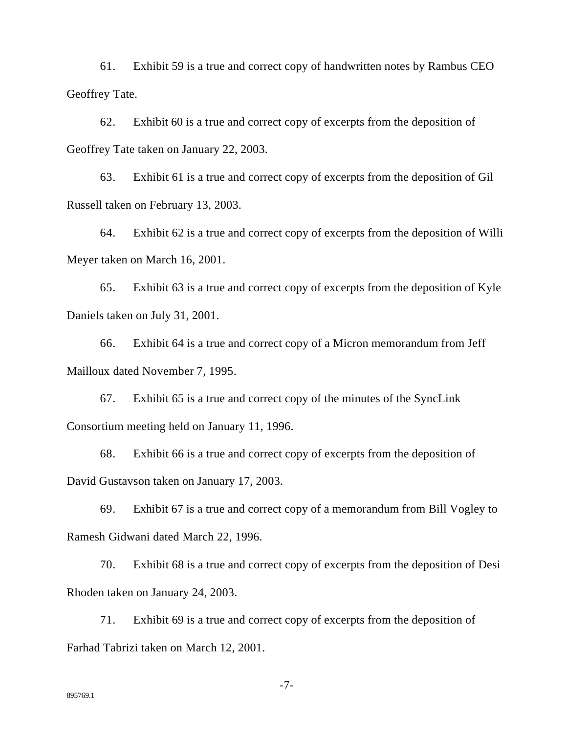61. Exhibit 59 is a true and correct copy of handwritten notes by Rambus CEO Geoffrey Tate.

62. Exhibit 60 is a true and correct copy of excerpts from the deposition of Geoffrey Tate taken on January 22, 2003.

63. Exhibit 61 is a true and correct copy of excerpts from the deposition of Gil Russell taken on February 13, 2003.

64. Exhibit 62 is a true and correct copy of excerpts from the deposition of Willi Meyer taken on March 16, 2001.

65. Exhibit 63 is a true and correct copy of excerpts from the deposition of Kyle Daniels taken on July 31, 2001.

66. Exhibit 64 is a true and correct copy of a Micron memorandum from Jeff Mailloux dated November 7, 1995.

67. Exhibit 65 is a true and correct copy of the minutes of the SyncLink Consortium meeting held on January 11, 1996.

68. Exhibit 66 is a true and correct copy of excerpts from the deposition of David Gustavson taken on January 17, 2003.

69. Exhibit 67 is a true and correct copy of a memorandum from Bill Vogley to Ramesh Gidwani dated March 22, 1996.

70. Exhibit 68 is a true and correct copy of excerpts from the deposition of Desi Rhoden taken on January 24, 2003.

71. Exhibit 69 is a true and correct copy of excerpts from the deposition of Farhad Tabrizi taken on March 12, 2001.

-7-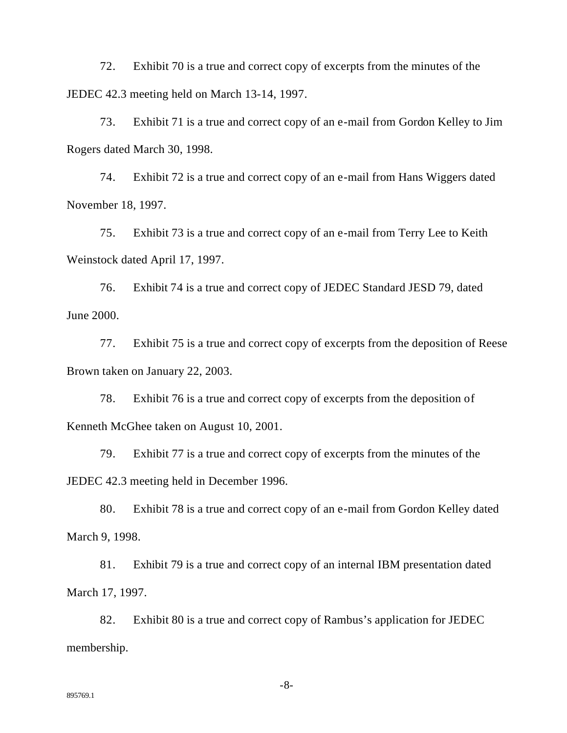72. Exhibit 70 is a true and correct copy of excerpts from the minutes of the JEDEC 42.3 meeting held on March 13-14, 1997.

73. Exhibit 71 is a true and correct copy of an e-mail from Gordon Kelley to Jim Rogers dated March 30, 1998.

74. Exhibit 72 is a true and correct copy of an e-mail from Hans Wiggers dated November 18, 1997.

75. Exhibit 73 is a true and correct copy of an e-mail from Terry Lee to Keith Weinstock dated April 17, 1997.

76. Exhibit 74 is a true and correct copy of JEDEC Standard JESD 79, dated June 2000.

77. Exhibit 75 is a true and correct copy of excerpts from the deposition of Reese Brown taken on January 22, 2003.

78. Exhibit 76 is a true and correct copy of excerpts from the deposition of Kenneth McGhee taken on August 10, 2001.

79. Exhibit 77 is a true and correct copy of excerpts from the minutes of the JEDEC 42.3 meeting held in December 1996.

80. Exhibit 78 is a true and correct copy of an e-mail from Gordon Kelley dated March 9, 1998.

81. Exhibit 79 is a true and correct copy of an internal IBM presentation dated March 17, 1997.

82. Exhibit 80 is a true and correct copy of Rambus's application for JEDEC membership.

-8-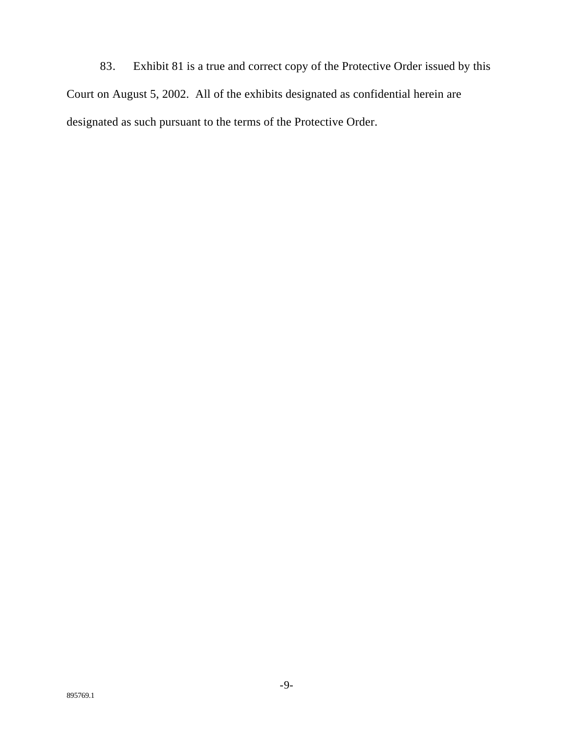83. Exhibit 81 is a true and correct copy of the Protective Order issued by this Court on August 5, 2002. All of the exhibits designated as confidential herein are designated as such pursuant to the terms of the Protective Order.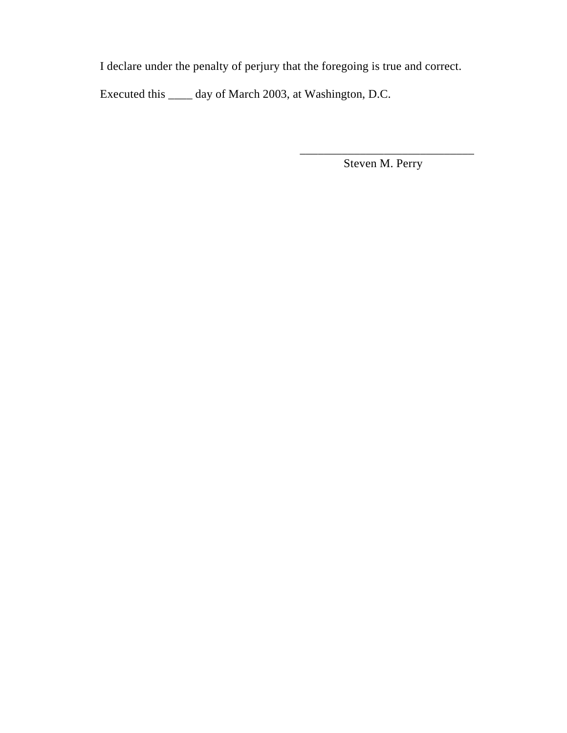I declare under the penalty of perjury that the foregoing is true and correct.

Executed this \_\_\_\_ day of March 2003, at Washington, D.C.

\_\_\_\_\_\_\_\_\_\_\_\_\_\_\_\_\_\_\_\_\_\_\_\_\_\_\_\_\_ Steven M. Perry